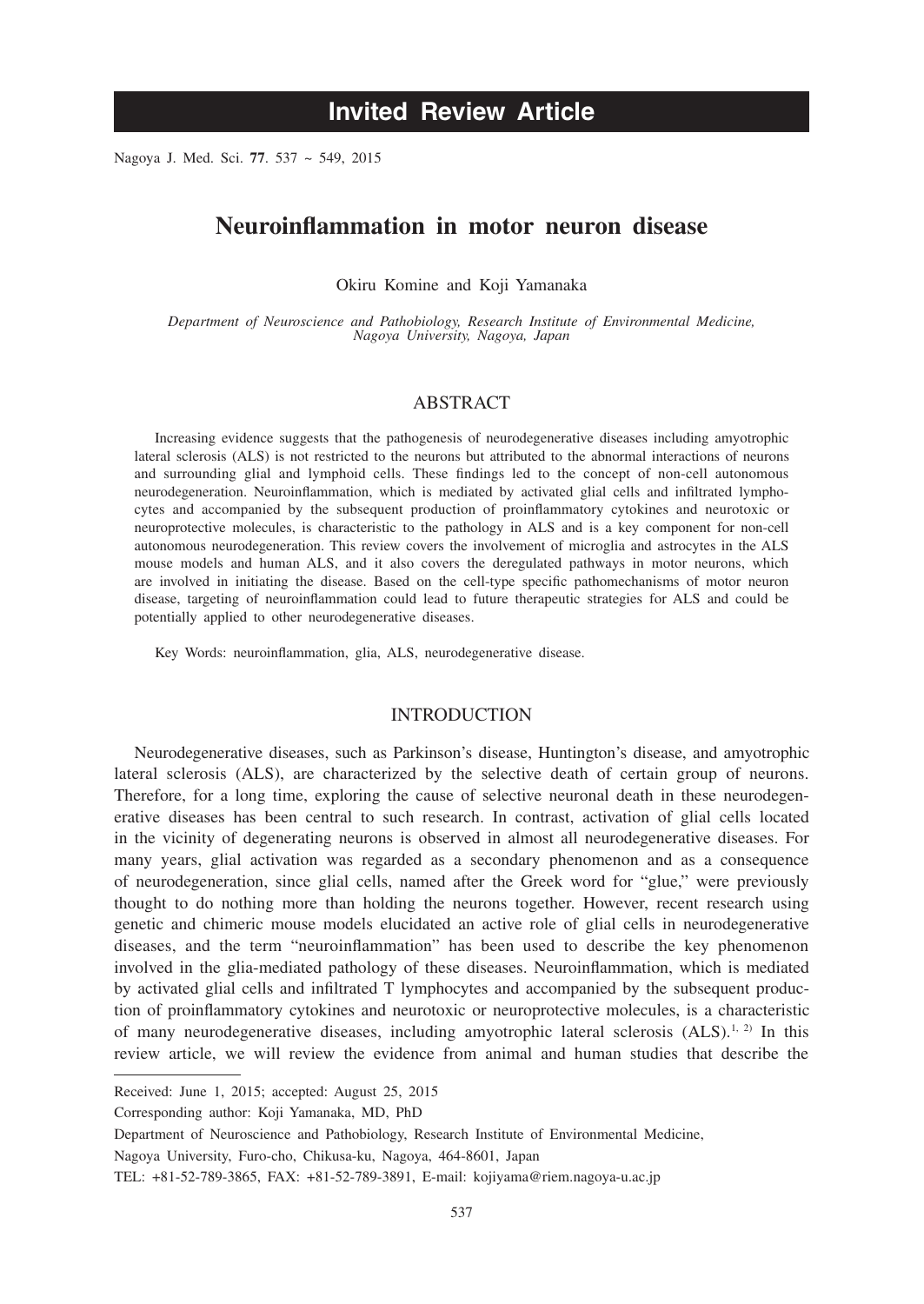# **Invited Review Article**

Nagoya J. Med. Sci. **77**. 537 ~ 549, 2015

# **Neuroinflammation in motor neuron disease**

Okiru Komine and Koji Yamanaka

*Department of Neuroscience and Pathobiology, Research Institute of Environmental Medicine, Nagoya University, Nagoya, Japan*

# ABSTRACT

Increasing evidence suggests that the pathogenesis of neurodegenerative diseases including amyotrophic lateral sclerosis (ALS) is not restricted to the neurons but attributed to the abnormal interactions of neurons and surrounding glial and lymphoid cells. These findings led to the concept of non-cell autonomous neurodegeneration. Neuroinflammation, which is mediated by activated glial cells and infiltrated lymphocytes and accompanied by the subsequent production of proinflammatory cytokines and neurotoxic or neuroprotective molecules, is characteristic to the pathology in ALS and is a key component for non-cell autonomous neurodegeneration. This review covers the involvement of microglia and astrocytes in the ALS mouse models and human ALS, and it also covers the deregulated pathways in motor neurons, which are involved in initiating the disease. Based on the cell-type specific pathomechanisms of motor neuron disease, targeting of neuroinflammation could lead to future therapeutic strategies for ALS and could be potentially applied to other neurodegenerative diseases.

Key Words: neuroinflammation, glia, ALS, neurodegenerative disease.

#### INTRODUCTION

Neurodegenerative diseases, such as Parkinson's disease, Huntington's disease, and amyotrophic lateral sclerosis (ALS), are characterized by the selective death of certain group of neurons. Therefore, for a long time, exploring the cause of selective neuronal death in these neurodegenerative diseases has been central to such research. In contrast, activation of glial cells located in the vicinity of degenerating neurons is observed in almost all neurodegenerative diseases. For many years, glial activation was regarded as a secondary phenomenon and as a consequence of neurodegeneration, since glial cells, named after the Greek word for "glue," were previously thought to do nothing more than holding the neurons together. However, recent research using genetic and chimeric mouse models elucidated an active role of glial cells in neurodegenerative diseases, and the term "neuroinflammation" has been used to describe the key phenomenon involved in the glia-mediated pathology of these diseases. Neuroinflammation, which is mediated by activated glial cells and infiltrated T lymphocytes and accompanied by the subsequent production of proinflammatory cytokines and neurotoxic or neuroprotective molecules, is a characteristic of many neurodegenerative diseases, including amyotrophic lateral sclerosis  $(ALS)^{1, 2)}$  In this review article, we will review the evidence from animal and human studies that describe the

Received: June 1, 2015; accepted: August 25, 2015

Corresponding author: Koji Yamanaka, MD, PhD

Department of Neuroscience and Pathobiology, Research Institute of Environmental Medicine,

Nagoya University, Furo-cho, Chikusa-ku, Nagoya, 464-8601, Japan

TEL: +81-52-789-3865, FAX: +81-52-789-3891, E-mail: kojiyama@riem.nagoya-u.ac.jp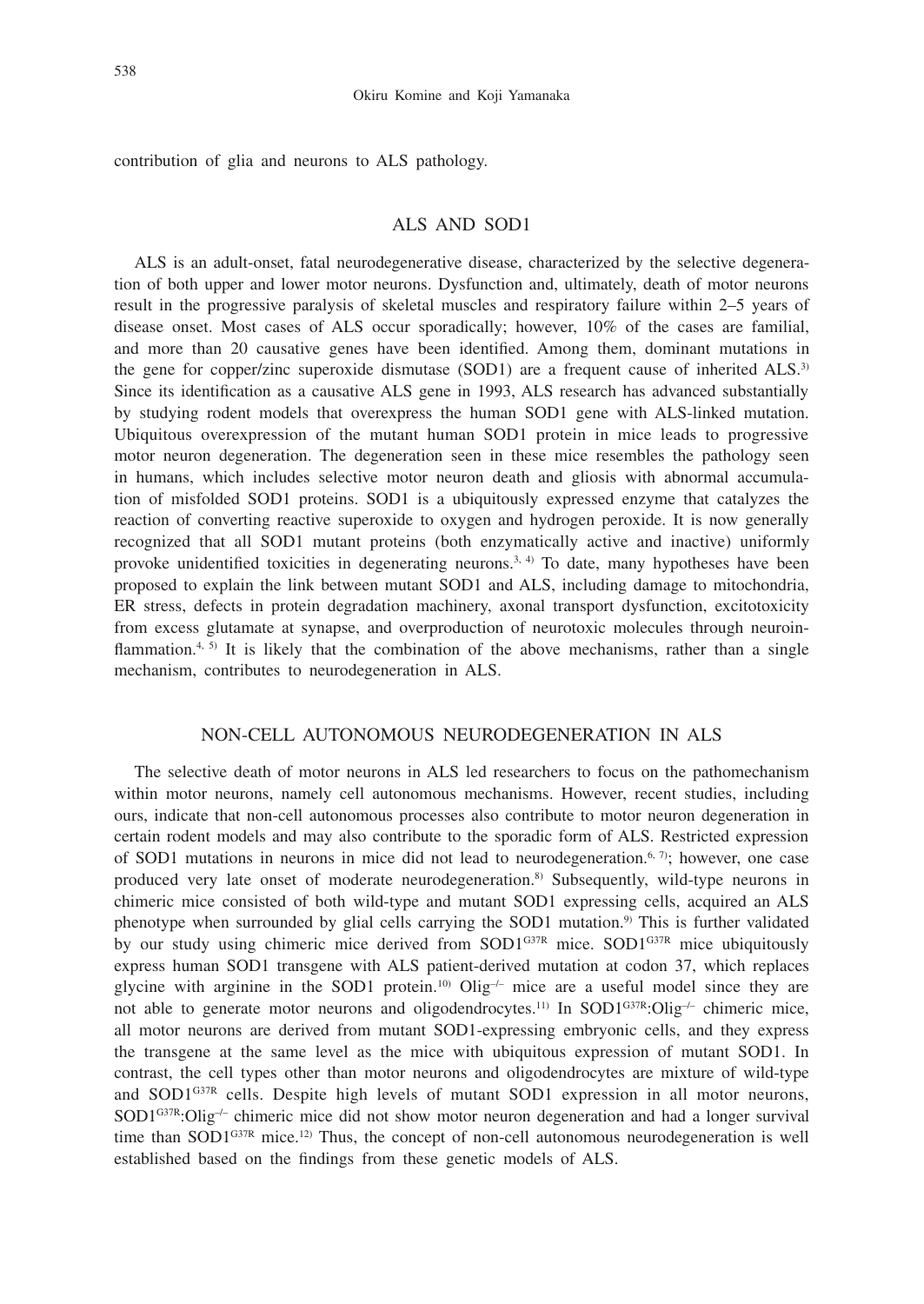contribution of glia and neurons to ALS pathology.

#### ALS AND SOD1

ALS is an adult-onset, fatal neurodegenerative disease, characterized by the selective degeneration of both upper and lower motor neurons. Dysfunction and, ultimately, death of motor neurons result in the progressive paralysis of skeletal muscles and respiratory failure within 2–5 years of disease onset. Most cases of ALS occur sporadically; however, 10% of the cases are familial, and more than 20 causative genes have been identified. Among them, dominant mutations in the gene for copper/zinc superoxide dismutase (SOD1) are a frequent cause of inherited ALS.<sup>3)</sup> Since its identification as a causative ALS gene in 1993, ALS research has advanced substantially by studying rodent models that overexpress the human SOD1 gene with ALS-linked mutation. Ubiquitous overexpression of the mutant human SOD1 protein in mice leads to progressive motor neuron degeneration. The degeneration seen in these mice resembles the pathology seen in humans, which includes selective motor neuron death and gliosis with abnormal accumulation of misfolded SOD1 proteins. SOD1 is a ubiquitously expressed enzyme that catalyzes the reaction of converting reactive superoxide to oxygen and hydrogen peroxide. It is now generally recognized that all SOD1 mutant proteins (both enzymatically active and inactive) uniformly provoke unidentified toxicities in degenerating neurons.<sup>3, 4)</sup> To date, many hypotheses have been proposed to explain the link between mutant SOD1 and ALS, including damage to mitochondria, ER stress, defects in protein degradation machinery, axonal transport dysfunction, excitotoxicity from excess glutamate at synapse, and overproduction of neurotoxic molecules through neuroinflammation.<sup>4, 5)</sup> It is likely that the combination of the above mechanisms, rather than a single mechanism, contributes to neurodegeneration in ALS.

# NON-CELL AUTONOMOUS NEURODEGENERATION IN ALS

The selective death of motor neurons in ALS led researchers to focus on the pathomechanism within motor neurons, namely cell autonomous mechanisms. However, recent studies, including ours, indicate that non-cell autonomous processes also contribute to motor neuron degeneration in certain rodent models and may also contribute to the sporadic form of ALS. Restricted expression of SOD1 mutations in neurons in mice did not lead to neurodegeneration.<sup>6, 7)</sup>; however, one case produced very late onset of moderate neurodegeneration.8) Subsequently, wild-type neurons in chimeric mice consisted of both wild-type and mutant SOD1 expressing cells, acquired an ALS phenotype when surrounded by glial cells carrying the SOD1 mutation.<sup>9)</sup> This is further validated by our study using chimeric mice derived from SOD1<sup>G37R</sup> mice. SOD1<sup>G37R</sup> mice ubiquitously express human SOD1 transgene with ALS patient-derived mutation at codon 37, which replaces glycine with arginine in the SOD1 protein.<sup>10</sup> Olig<sup>-/-</sup> mice are a useful model since they are not able to generate motor neurons and oligodendrocytes.<sup>11)</sup> In SOD1<sup>G37R</sup>:Olig<sup>-/-</sup> chimeric mice, all motor neurons are derived from mutant SOD1-expressing embryonic cells, and they express the transgene at the same level as the mice with ubiquitous expression of mutant SOD1. In contrast, the cell types other than motor neurons and oligodendrocytes are mixture of wild-type and SOD1<sup>G37R</sup> cells. Despite high levels of mutant SOD1 expression in all motor neurons,  $SOD1^{G37R}:Olig^{-/-}$  chimeric mice did not show motor neuron degeneration and had a longer survival time than SOD1 $G37R$  mice.<sup>12)</sup> Thus, the concept of non-cell autonomous neurodegeneration is well established based on the findings from these genetic models of ALS.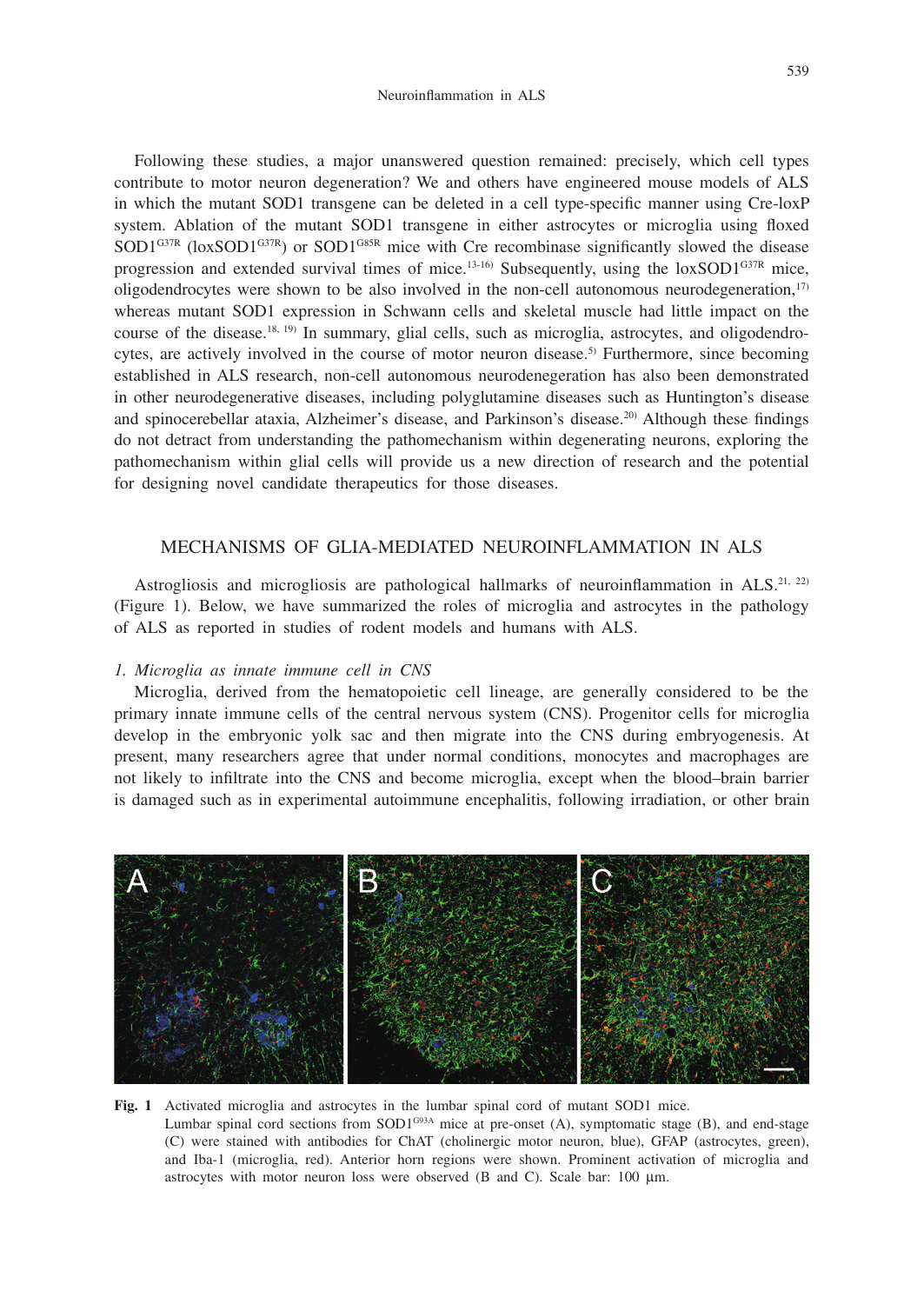Following these studies, a major unanswered question remained: precisely, which cell types contribute to motor neuron degeneration? We and others have engineered mouse models of ALS in which the mutant SOD1 transgene can be deleted in a cell type-specific manner using Cre-loxP system. Ablation of the mutant SOD1 transgene in either astrocytes or microglia using floxed  $SOD1^{G37R}$  (loxSOD1<sup>G37R</sup>) or SOD1<sup>G85R</sup> mice with Cre recombinase significantly slowed the disease progression and extended survival times of mice.<sup>13-16)</sup> Subsequently, using the  $\text{loxSOD1}^{\text{G37R}}$  mice, oligodendrocytes were shown to be also involved in the non-cell autonomous neurodegeneration, $17$ whereas mutant SOD1 expression in Schwann cells and skeletal muscle had little impact on the course of the disease.<sup>18, 19)</sup> In summary, glial cells, such as microglia, astrocytes, and oligodendrocytes, are actively involved in the course of motor neuron disease.<sup>5)</sup> Furthermore, since becoming established in ALS research, non-cell autonomous neurodenegeration has also been demonstrated in other neurodegenerative diseases, including polyglutamine diseases such as Huntington's disease and spinocerebellar ataxia, Alzheimer's disease, and Parkinson's disease.<sup>20)</sup> Although these findings do not detract from understanding the pathomechanism within degenerating neurons, exploring the pathomechanism within glial cells will provide us a new direction of research and the potential for designing novel candidate therapeutics for those diseases.

# MECHANISMS OF GLIA-MEDIATED NEUROINFLAMMATION IN ALS

Astrogliosis and microgliosis are pathological hallmarks of neuroinflammation in  $ALS^{21, 22}$ (Figure 1). Below, we have summarized the roles of microglia and astrocytes in the pathology of ALS as reported in studies of rodent models and humans with ALS.

### *1. Microglia as innate immune cell in CNS*

Microglia, derived from the hematopoietic cell lineage, are generally considered to be the primary innate immune cells of the central nervous system (CNS). Progenitor cells for microglia develop in the embryonic yolk sac and then migrate into the CNS during embryogenesis. At present, many researchers agree that under normal conditions, monocytes and macrophages are not likely to infiltrate into the CNS and become microglia, except when the blood–brain barrier is damaged such as in experimental autoimmune encephalitis, following irradiation, or other brain



**Fig. 1** Activated microglia and astrocytes in the lumbar spinal cord of mutant SOD1 mice. Lumbar spinal cord sections from  $SOD1^{G93A}$  mice at pre-onset (A), symptomatic stage (B), and end-stage (C) were stained with antibodies for ChAT (cholinergic motor neuron, blue), GFAP (astrocytes, green), and Iba-1 (microglia, red). Anterior horn regions were shown. Prominent activation of microglia and astrocytes with motor neuron loss were observed (B and C). Scale bar: 100 μm.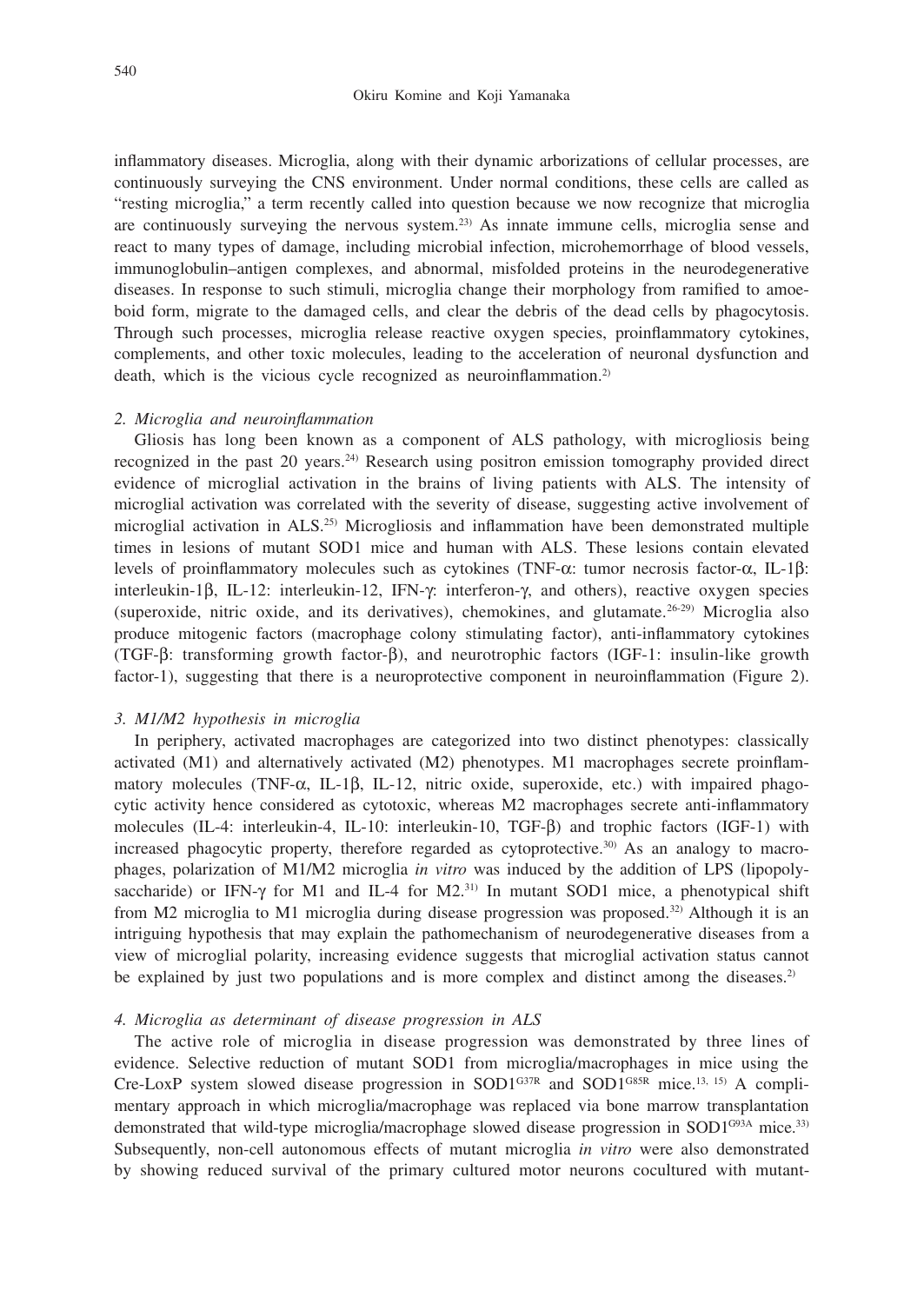inflammatory diseases. Microglia, along with their dynamic arborizations of cellular processes, are continuously surveying the CNS environment. Under normal conditions, these cells are called as "resting microglia," a term recently called into question because we now recognize that microglia are continuously surveying the nervous system.23) As innate immune cells, microglia sense and react to many types of damage, including microbial infection, microhemorrhage of blood vessels, immunoglobulin–antigen complexes, and abnormal, misfolded proteins in the neurodegenerative diseases. In response to such stimuli, microglia change their morphology from ramified to amoeboid form, migrate to the damaged cells, and clear the debris of the dead cells by phagocytosis. Through such processes, microglia release reactive oxygen species, proinflammatory cytokines, complements, and other toxic molecules, leading to the acceleration of neuronal dysfunction and death, which is the vicious cycle recognized as neuroinflammation.<sup>2)</sup>

#### *2. Microglia and neuroinflammation*

Gliosis has long been known as a component of ALS pathology, with microgliosis being recognized in the past 20 years.<sup>24)</sup> Research using positron emission tomography provided direct evidence of microglial activation in the brains of living patients with ALS. The intensity of microglial activation was correlated with the severity of disease, suggesting active involvement of microglial activation in ALS.25) Microgliosis and inflammation have been demonstrated multiple times in lesions of mutant SOD1 mice and human with ALS. These lesions contain elevated levels of proinflammatory molecules such as cytokines (TNF-α: tumor necrosis factor-α, IL-1β: interleukin-1β, IL-12: interleukin-12, IFN-γ: interferon-γ, and others), reactive oxygen species (superoxide, nitric oxide, and its derivatives), chemokines, and glutamate.26-29) Microglia also produce mitogenic factors (macrophage colony stimulating factor), anti-inflammatory cytokines (TGF-β: transforming growth factor-β), and neurotrophic factors (IGF-1: insulin-like growth factor-1), suggesting that there is a neuroprotective component in neuroinflammation (Figure 2).

#### *3. M1/M2 hypothesis in microglia*

In periphery, activated macrophages are categorized into two distinct phenotypes: classically activated (M1) and alternatively activated (M2) phenotypes. M1 macrophages secrete proinflammatory molecules (TNF- $\alpha$ , IL-1 $\beta$ , IL-12, nitric oxide, superoxide, etc.) with impaired phagocytic activity hence considered as cytotoxic, whereas M2 macrophages secrete anti-inflammatory molecules (IL-4: interleukin-4, IL-10: interleukin-10, TGF-β) and trophic factors (IGF-1) with increased phagocytic property, therefore regarded as cytoprotective.30) As an analogy to macrophages, polarization of M1/M2 microglia *in vitro* was induced by the addition of LPS (lipopolysaccharide) or IFN-γ for M1 and IL-4 for M2.31) In mutant SOD1 mice, a phenotypical shift from M2 microglia to M1 microglia during disease progression was proposed.32) Although it is an intriguing hypothesis that may explain the pathomechanism of neurodegenerative diseases from a view of microglial polarity, increasing evidence suggests that microglial activation status cannot be explained by just two populations and is more complex and distinct among the diseases.<sup>2)</sup>

#### *4. Microglia as determinant of disease progression in ALS*

The active role of microglia in disease progression was demonstrated by three lines of evidence. Selective reduction of mutant SOD1 from microglia/macrophages in mice using the Cre-LoxP system slowed disease progression in SOD1<sup>G37R</sup> and SOD1<sup>G85R</sup> mice.<sup>13, 15</sup>) A complimentary approach in which microglia/macrophage was replaced via bone marrow transplantation demonstrated that wild-type microglia/macrophage slowed disease progression in SOD1<sup>G93A</sup> mice.<sup>33)</sup> Subsequently, non-cell autonomous effects of mutant microglia *in vitro* were also demonstrated by showing reduced survival of the primary cultured motor neurons cocultured with mutant-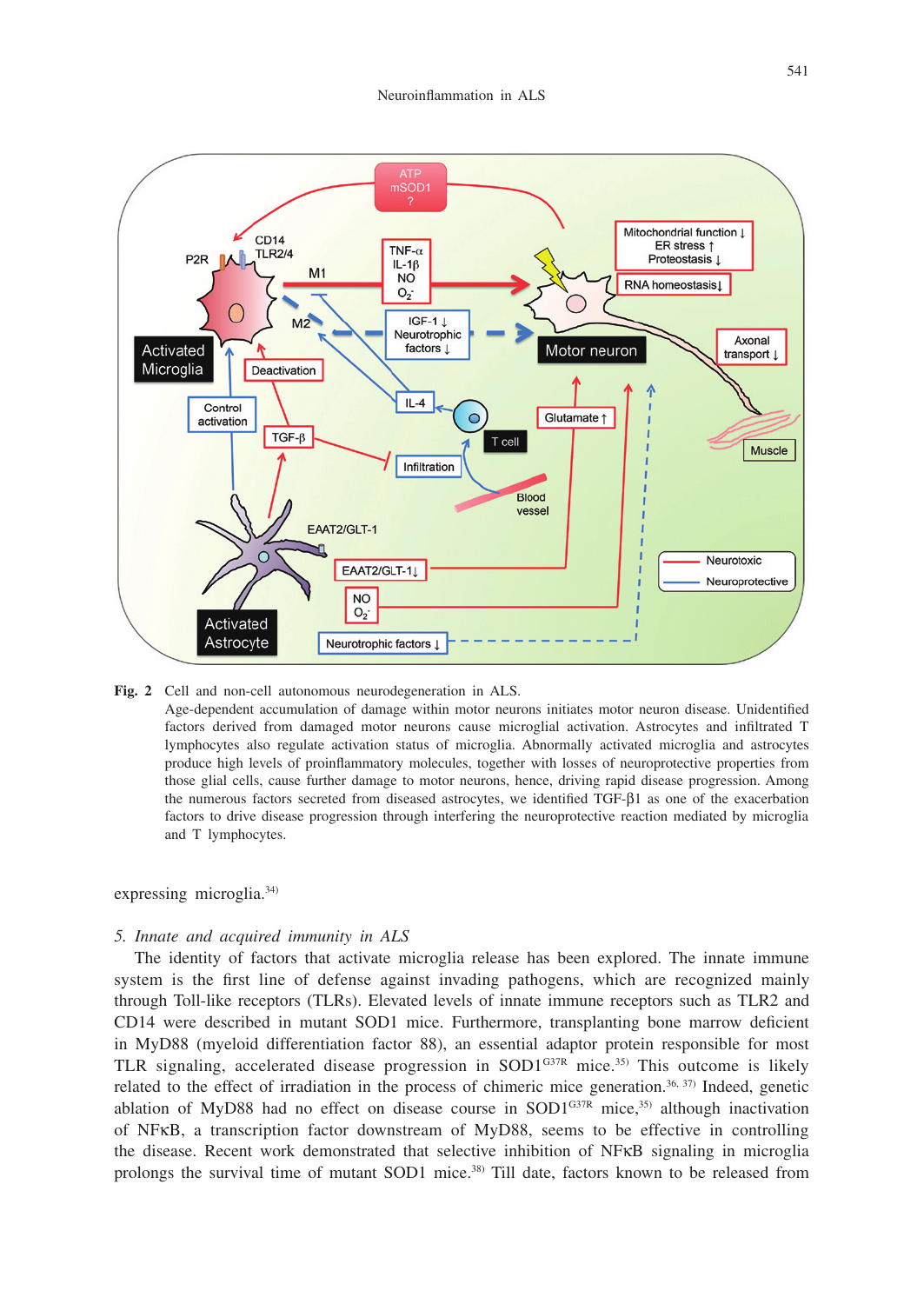

**Fig. 2** Cell and non-cell autonomous neurodegeneration in ALS.

Age-dependent accumulation of damage within motor neurons initiates motor neuron disease. Unidentified factors derived from damaged motor neurons cause microglial activation. Astrocytes and infiltrated T lymphocytes also regulate activation status of microglia. Abnormally activated microglia and astrocytes produce high levels of proinflammatory molecules, together with losses of neuroprotective properties from those glial cells, cause further damage to motor neurons, hence, driving rapid disease progression. Among the numerous factors secreted from diseased astrocytes, we identified TGF-β1 as one of the exacerbation factors to drive disease progression through interfering the neuroprotective reaction mediated by microglia and T lymphocytes.

expressing microglia.<sup>34)</sup>

#### *5. Innate and acquired immunity in ALS*

The identity of factors that activate microglia release has been explored. The innate immune system is the first line of defense against invading pathogens, which are recognized mainly through Toll-like receptors (TLRs). Elevated levels of innate immune receptors such as TLR2 and CD14 were described in mutant SOD1 mice. Furthermore, transplanting bone marrow deficient in MyD88 (myeloid differentiation factor 88), an essential adaptor protein responsible for most TLR signaling, accelerated disease progression in SOD1 $G37R$  mice.<sup>35)</sup> This outcome is likely related to the effect of irradiation in the process of chimeric mice generation.<sup>36, 37)</sup> Indeed, genetic ablation of MyD88 had no effect on disease course in SOD1<sup>G37R</sup> mice,<sup>35)</sup> although inactivation of NFκB, a transcription factor downstream of MyD88, seems to be effective in controlling the disease. Recent work demonstrated that selective inhibition of NFκB signaling in microglia prolongs the survival time of mutant SOD1 mice.<sup>38)</sup> Till date, factors known to be released from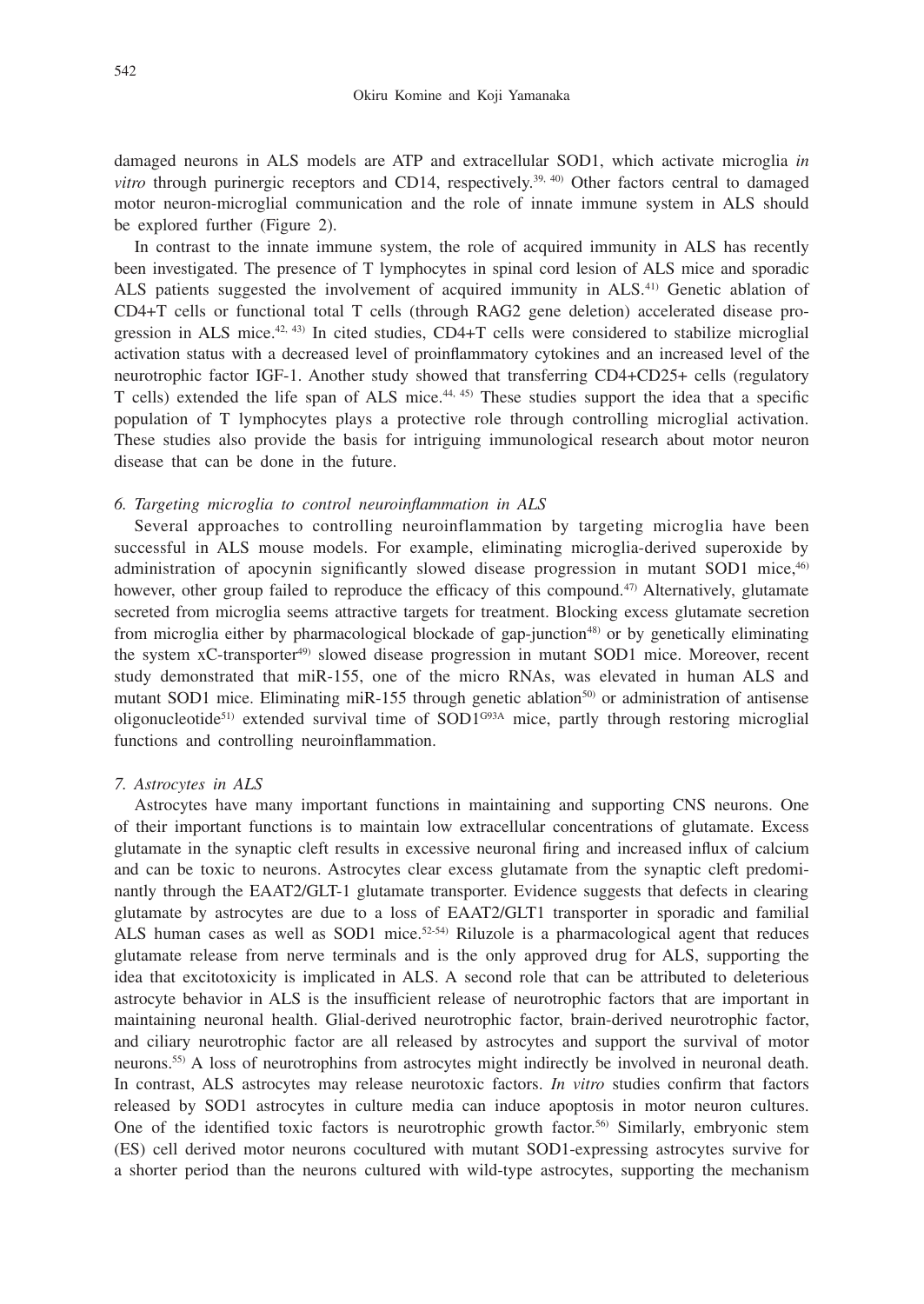damaged neurons in ALS models are ATP and extracellular SOD1, which activate microglia *in vitro* through purinergic receptors and CD14, respectively.<sup>39, 40</sup>) Other factors central to damaged motor neuron-microglial communication and the role of innate immune system in ALS should be explored further (Figure 2).

In contrast to the innate immune system, the role of acquired immunity in ALS has recently been investigated. The presence of T lymphocytes in spinal cord lesion of ALS mice and sporadic ALS patients suggested the involvement of acquired immunity in ALS.41) Genetic ablation of CD4+T cells or functional total T cells (through RAG2 gene deletion) accelerated disease progression in ALS mice.<sup>42, 43)</sup> In cited studies, CD4+T cells were considered to stabilize microglial activation status with a decreased level of proinflammatory cytokines and an increased level of the neurotrophic factor IGF-1. Another study showed that transferring CD4+CD25+ cells (regulatory T cells) extended the life span of ALS mice.44, 45) These studies support the idea that a specific population of T lymphocytes plays a protective role through controlling microglial activation. These studies also provide the basis for intriguing immunological research about motor neuron disease that can be done in the future.

#### *6. Targeting microglia to control neuroinflammation in ALS*

Several approaches to controlling neuroinflammation by targeting microglia have been successful in ALS mouse models. For example, eliminating microglia-derived superoxide by administration of apocynin significantly slowed disease progression in mutant SOD1 mice,<sup>46)</sup> however, other group failed to reproduce the efficacy of this compound.<sup>47)</sup> Alternatively, glutamate secreted from microglia seems attractive targets for treatment. Blocking excess glutamate secretion from microglia either by pharmacological blockade of gap-junction<sup>48)</sup> or by genetically eliminating the system xC-transporter<sup>49)</sup> slowed disease progression in mutant SOD1 mice. Moreover, recent study demonstrated that miR-155, one of the micro RNAs, was elevated in human ALS and mutant SOD1 mice. Eliminating miR-155 through genetic ablation<sup>50</sup> or administration of antisense oligonucleotide<sup>51)</sup> extended survival time of SOD1<sup>G93A</sup> mice, partly through restoring microglial functions and controlling neuroinflammation.

#### *7. Astrocytes in ALS*

Astrocytes have many important functions in maintaining and supporting CNS neurons. One of their important functions is to maintain low extracellular concentrations of glutamate. Excess glutamate in the synaptic cleft results in excessive neuronal firing and increased influx of calcium and can be toxic to neurons. Astrocytes clear excess glutamate from the synaptic cleft predominantly through the EAAT2/GLT-1 glutamate transporter. Evidence suggests that defects in clearing glutamate by astrocytes are due to a loss of EAAT2/GLT1 transporter in sporadic and familial ALS human cases as well as SOD1 mice. $52-54$ ) Riluzole is a pharmacological agent that reduces glutamate release from nerve terminals and is the only approved drug for ALS, supporting the idea that excitotoxicity is implicated in ALS. A second role that can be attributed to deleterious astrocyte behavior in ALS is the insufficient release of neurotrophic factors that are important in maintaining neuronal health. Glial-derived neurotrophic factor, brain-derived neurotrophic factor, and ciliary neurotrophic factor are all released by astrocytes and support the survival of motor neurons.55) A loss of neurotrophins from astrocytes might indirectly be involved in neuronal death. In contrast, ALS astrocytes may release neurotoxic factors. *In vitro* studies confirm that factors released by SOD1 astrocytes in culture media can induce apoptosis in motor neuron cultures. One of the identified toxic factors is neurotrophic growth factor.<sup>56)</sup> Similarly, embryonic stem (ES) cell derived motor neurons cocultured with mutant SOD1-expressing astrocytes survive for a shorter period than the neurons cultured with wild-type astrocytes, supporting the mechanism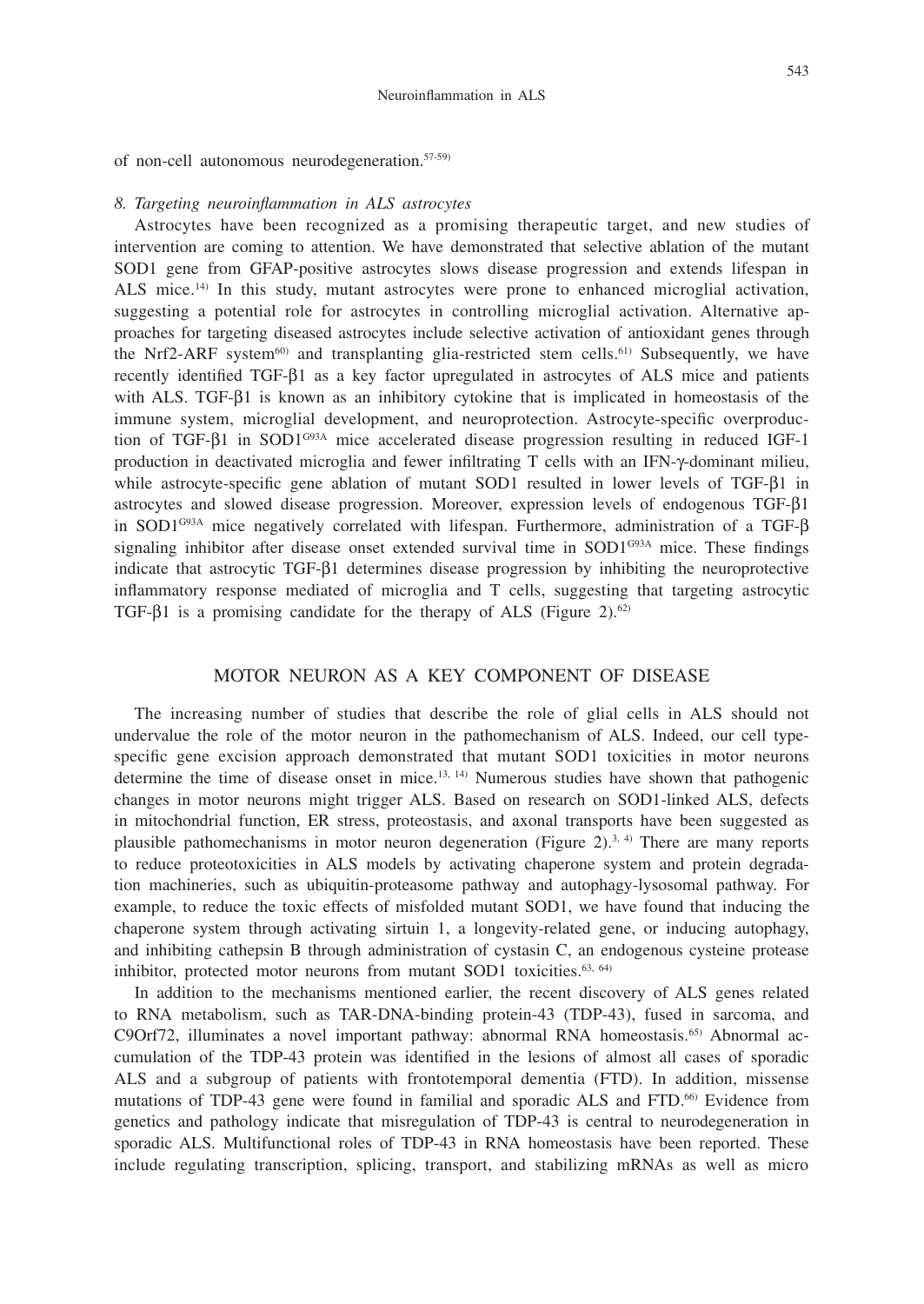of non-cell autonomous neurodegeneration.57-59)

#### *8. Targeting neuroinflammation in ALS astrocytes*

Astrocytes have been recognized as a promising therapeutic target, and new studies of intervention are coming to attention. We have demonstrated that selective ablation of the mutant SOD1 gene from GFAP-positive astrocytes slows disease progression and extends lifespan in ALS mice.14) In this study, mutant astrocytes were prone to enhanced microglial activation, suggesting a potential role for astrocytes in controlling microglial activation. Alternative approaches for targeting diseased astrocytes include selective activation of antioxidant genes through the Nrf2-ARF system<sup>60)</sup> and transplanting glia-restricted stem cells.<sup>61)</sup> Subsequently, we have recently identified TGF-β1 as a key factor upregulated in astrocytes of ALS mice and patients with ALS. TGF-β1 is known as an inhibitory cytokine that is implicated in homeostasis of the immune system, microglial development, and neuroprotection. Astrocyte-specific overproduction of TGF-β1 in SOD1<sup>G93A</sup> mice accelerated disease progression resulting in reduced IGF-1 production in deactivated microglia and fewer infiltrating T cells with an IFN-γ-dominant milieu, while astrocyte-specific gene ablation of mutant SOD1 resulted in lower levels of TGF-β1 in astrocytes and slowed disease progression. Moreover, expression levels of endogenous TGF-β1 in SOD1G93A mice negatively correlated with lifespan. Furthermore, administration of a TGF-β signaling inhibitor after disease onset extended survival time in SOD1<sup>G93A</sup> mice. These findings indicate that astrocytic TGF-β1 determines disease progression by inhibiting the neuroprotective inflammatory response mediated of microglia and T cells, suggesting that targeting astrocytic TGF-β1 is a promising candidate for the therapy of ALS (Figure 2).<sup>62)</sup>

# MOTOR NEURON AS A KEY COMPONENT OF DISEASE

The increasing number of studies that describe the role of glial cells in ALS should not undervalue the role of the motor neuron in the pathomechanism of ALS. Indeed, our cell typespecific gene excision approach demonstrated that mutant SOD1 toxicities in motor neurons determine the time of disease onset in mice.<sup>13, 14</sup>) Numerous studies have shown that pathogenic changes in motor neurons might trigger ALS. Based on research on SOD1-linked ALS, defects in mitochondrial function, ER stress, proteostasis, and axonal transports have been suggested as plausible pathomechanisms in motor neuron degeneration (Figure 2).<sup>3, 4)</sup> There are many reports to reduce proteotoxicities in ALS models by activating chaperone system and protein degradation machineries, such as ubiquitin-proteasome pathway and autophagy-lysosomal pathway. For example, to reduce the toxic effects of misfolded mutant SOD1, we have found that inducing the chaperone system through activating sirtuin 1, a longevity-related gene, or inducing autophagy, and inhibiting cathepsin B through administration of cystasin C, an endogenous cysteine protease inhibitor, protected motor neurons from mutant SOD1 toxicities. $63, 64$ )

In addition to the mechanisms mentioned earlier, the recent discovery of ALS genes related to RNA metabolism, such as TAR-DNA-binding protein-43 (TDP-43), fused in sarcoma, and C9Orf72, illuminates a novel important pathway: abnormal RNA homeostasis.<sup>65</sup> Abnormal accumulation of the TDP-43 protein was identified in the lesions of almost all cases of sporadic ALS and a subgroup of patients with frontotemporal dementia (FTD). In addition, missense mutations of TDP-43 gene were found in familial and sporadic ALS and FTD.<sup>66)</sup> Evidence from genetics and pathology indicate that misregulation of TDP-43 is central to neurodegeneration in sporadic ALS. Multifunctional roles of TDP-43 in RNA homeostasis have been reported. These include regulating transcription, splicing, transport, and stabilizing mRNAs as well as micro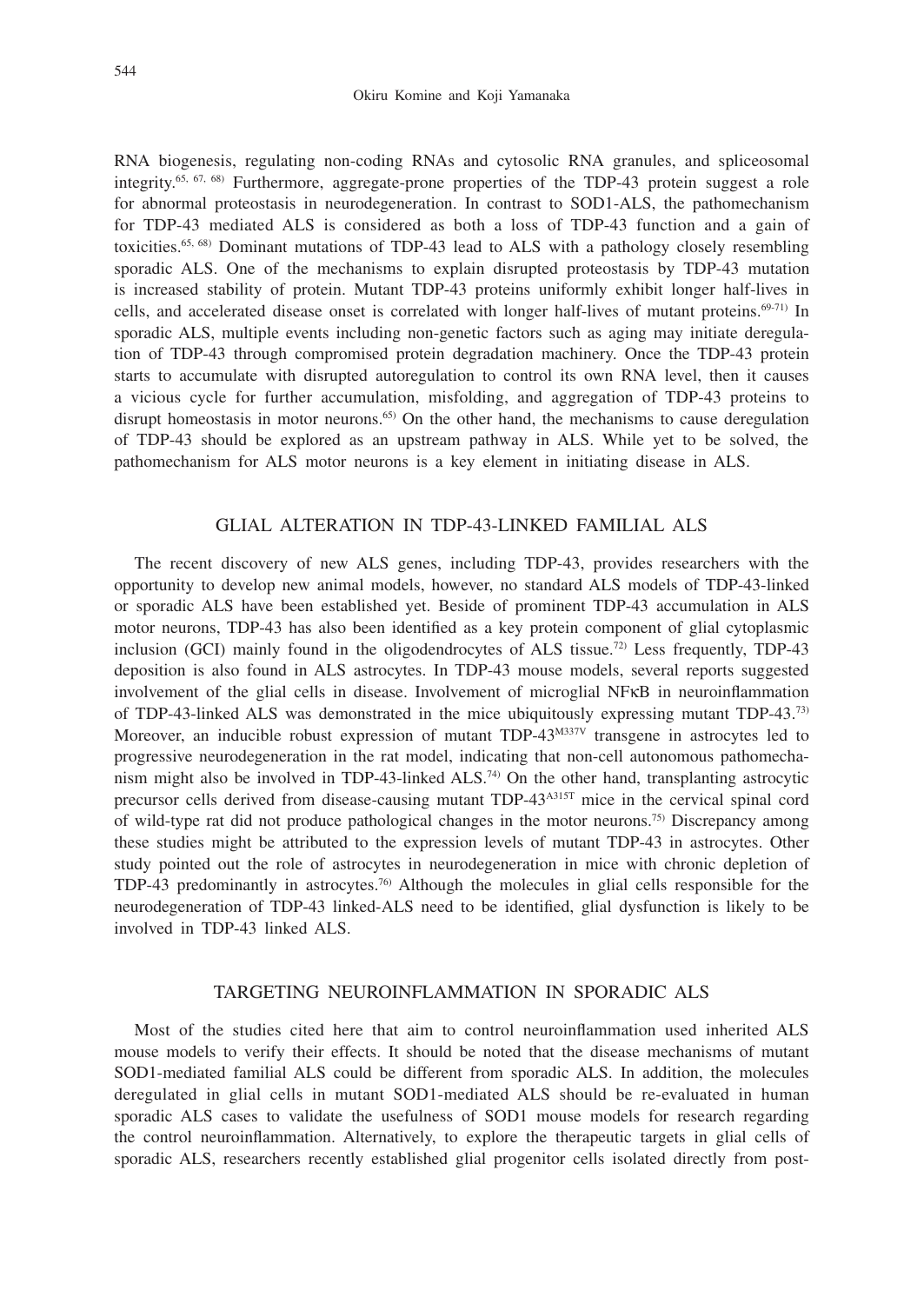RNA biogenesis, regulating non-coding RNAs and cytosolic RNA granules, and spliceosomal integrity.<sup>65, 67, 68)</sup> Furthermore, aggregate-prone properties of the TDP-43 protein suggest a role for abnormal proteostasis in neurodegeneration. In contrast to SOD1-ALS, the pathomechanism for TDP-43 mediated ALS is considered as both a loss of TDP-43 function and a gain of toxicities.65, 68) Dominant mutations of TDP-43 lead to ALS with a pathology closely resembling sporadic ALS. One of the mechanisms to explain disrupted proteostasis by TDP-43 mutation is increased stability of protein. Mutant TDP-43 proteins uniformly exhibit longer half-lives in cells, and accelerated disease onset is correlated with longer half-lives of mutant proteins.<sup>69-71)</sup> In sporadic ALS, multiple events including non-genetic factors such as aging may initiate deregulation of TDP-43 through compromised protein degradation machinery. Once the TDP-43 protein starts to accumulate with disrupted autoregulation to control its own RNA level, then it causes a vicious cycle for further accumulation, misfolding, and aggregation of TDP-43 proteins to disrupt homeostasis in motor neurons.<sup>65)</sup> On the other hand, the mechanisms to cause deregulation of TDP-43 should be explored as an upstream pathway in ALS. While yet to be solved, the pathomechanism for ALS motor neurons is a key element in initiating disease in ALS.

#### GLIAL ALTERATION IN TDP-43-LINKED FAMILIAL ALS

The recent discovery of new ALS genes, including TDP-43, provides researchers with the opportunity to develop new animal models, however, no standard ALS models of TDP-43-linked or sporadic ALS have been established yet. Beside of prominent TDP-43 accumulation in ALS motor neurons, TDP-43 has also been identified as a key protein component of glial cytoplasmic inclusion (GCI) mainly found in the oligodendrocytes of ALS tissue.<sup>72)</sup> Less frequently, TDP-43 deposition is also found in ALS astrocytes. In TDP-43 mouse models, several reports suggested involvement of the glial cells in disease. Involvement of microglial NFκB in neuroinflammation of TDP-43-linked ALS was demonstrated in the mice ubiquitously expressing mutant TDP-43.73) Moreover, an inducible robust expression of mutant TDP-43<sup>M337V</sup> transgene in astrocytes led to progressive neurodegeneration in the rat model, indicating that non-cell autonomous pathomechanism might also be involved in TDP-43-linked  $ALS^{(74)}$  On the other hand, transplanting astrocytic precursor cells derived from disease-causing mutant TDP-43A315T mice in the cervical spinal cord of wild-type rat did not produce pathological changes in the motor neurons.75) Discrepancy among these studies might be attributed to the expression levels of mutant TDP-43 in astrocytes. Other study pointed out the role of astrocytes in neurodegeneration in mice with chronic depletion of TDP-43 predominantly in astrocytes.76) Although the molecules in glial cells responsible for the neurodegeneration of TDP-43 linked-ALS need to be identified, glial dysfunction is likely to be involved in TDP-43 linked ALS.

## TARGETING NEUROINFLAMMATION IN SPORADIC ALS

Most of the studies cited here that aim to control neuroinflammation used inherited ALS mouse models to verify their effects. It should be noted that the disease mechanisms of mutant SOD1-mediated familial ALS could be different from sporadic ALS. In addition, the molecules deregulated in glial cells in mutant SOD1-mediated ALS should be re-evaluated in human sporadic ALS cases to validate the usefulness of SOD1 mouse models for research regarding the control neuroinflammation. Alternatively, to explore the therapeutic targets in glial cells of sporadic ALS, researchers recently established glial progenitor cells isolated directly from post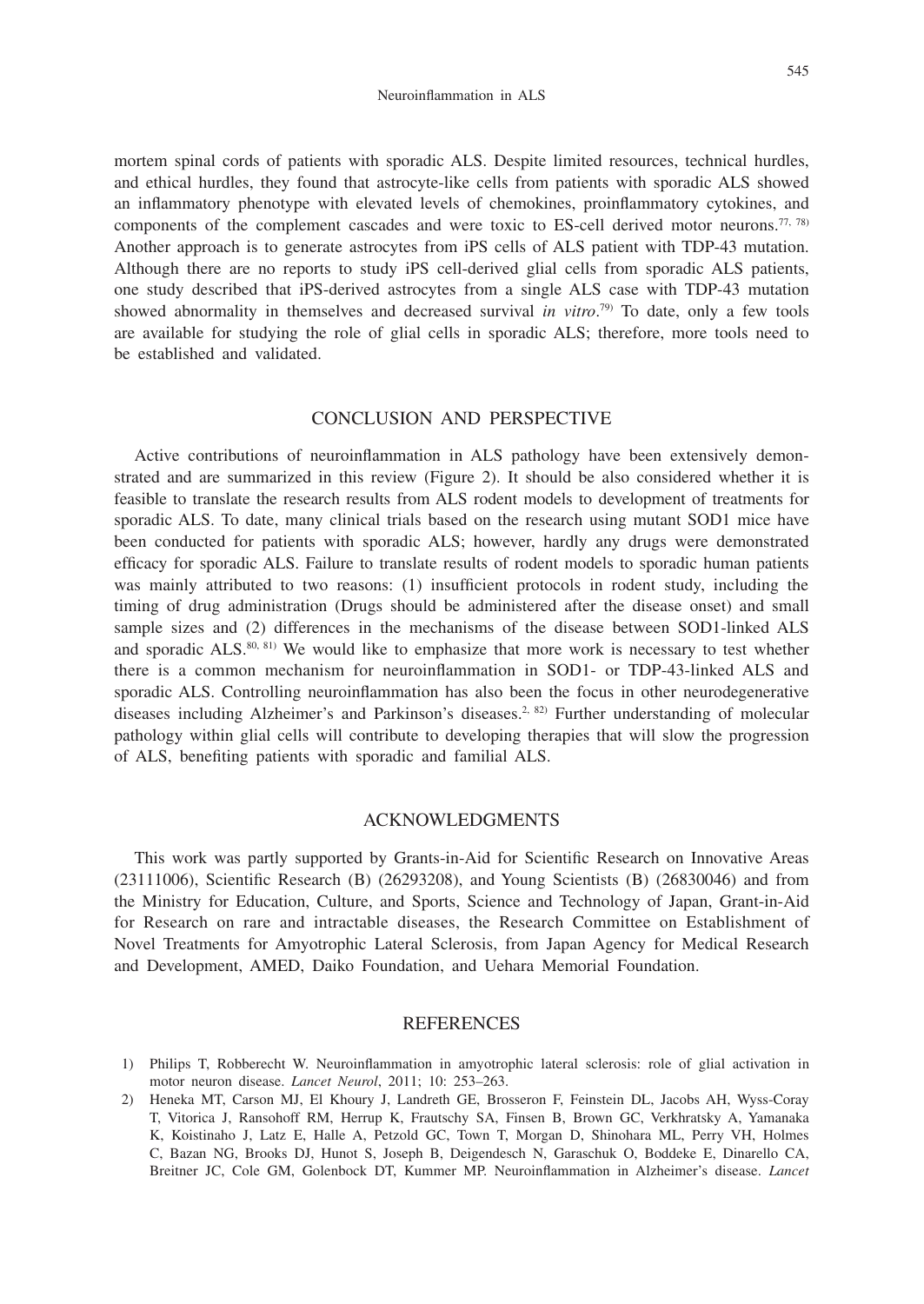mortem spinal cords of patients with sporadic ALS. Despite limited resources, technical hurdles, and ethical hurdles, they found that astrocyte-like cells from patients with sporadic ALS showed an inflammatory phenotype with elevated levels of chemokines, proinflammatory cytokines, and components of the complement cascades and were toxic to ES-cell derived motor neurons.<sup>77, 78)</sup> Another approach is to generate astrocytes from iPS cells of ALS patient with TDP-43 mutation. Although there are no reports to study iPS cell-derived glial cells from sporadic ALS patients, one study described that iPS-derived astrocytes from a single ALS case with TDP-43 mutation showed abnormality in themselves and decreased survival *in vitro*. 79) To date, only a few tools are available for studying the role of glial cells in sporadic ALS; therefore, more tools need to be established and validated.

#### CONCLUSION AND PERSPECTIVE

Active contributions of neuroinflammation in ALS pathology have been extensively demonstrated and are summarized in this review (Figure 2). It should be also considered whether it is feasible to translate the research results from ALS rodent models to development of treatments for sporadic ALS. To date, many clinical trials based on the research using mutant SOD1 mice have been conducted for patients with sporadic ALS; however, hardly any drugs were demonstrated efficacy for sporadic ALS. Failure to translate results of rodent models to sporadic human patients was mainly attributed to two reasons: (1) insufficient protocols in rodent study, including the timing of drug administration (Drugs should be administered after the disease onset) and small sample sizes and (2) differences in the mechanisms of the disease between SOD1-linked ALS and sporadic ALS. $80, 81)$  We would like to emphasize that more work is necessary to test whether there is a common mechanism for neuroinflammation in SOD1- or TDP-43-linked ALS and sporadic ALS. Controlling neuroinflammation has also been the focus in other neurodegenerative diseases including Alzheimer's and Parkinson's diseases.<sup>2, 82)</sup> Further understanding of molecular pathology within glial cells will contribute to developing therapies that will slow the progression of ALS, benefiting patients with sporadic and familial ALS.

#### ACKNOWLEDGMENTS

This work was partly supported by Grants-in-Aid for Scientific Research on Innovative Areas (23111006), Scientific Research (B) (26293208), and Young Scientists (B) (26830046) and from the Ministry for Education, Culture, and Sports, Science and Technology of Japan, Grant-in-Aid for Research on rare and intractable diseases, the Research Committee on Establishment of Novel Treatments for Amyotrophic Lateral Sclerosis, from Japan Agency for Medical Research and Development, AMED, Daiko Foundation, and Uehara Memorial Foundation.

#### REFERENCES

- 1) Philips T, Robberecht W. Neuroinflammation in amyotrophic lateral sclerosis: role of glial activation in motor neuron disease. *Lancet Neurol*, 2011; 10: 253–263.
- 2) Heneka MT, Carson MJ, El Khoury J, Landreth GE, Brosseron F, Feinstein DL, Jacobs AH, Wyss-Coray T, Vitorica J, Ransohoff RM, Herrup K, Frautschy SA, Finsen B, Brown GC, Verkhratsky A, Yamanaka K, Koistinaho J, Latz E, Halle A, Petzold GC, Town T, Morgan D, Shinohara ML, Perry VH, Holmes C, Bazan NG, Brooks DJ, Hunot S, Joseph B, Deigendesch N, Garaschuk O, Boddeke E, Dinarello CA, Breitner JC, Cole GM, Golenbock DT, Kummer MP. Neuroinflammation in Alzheimer's disease. *Lancet*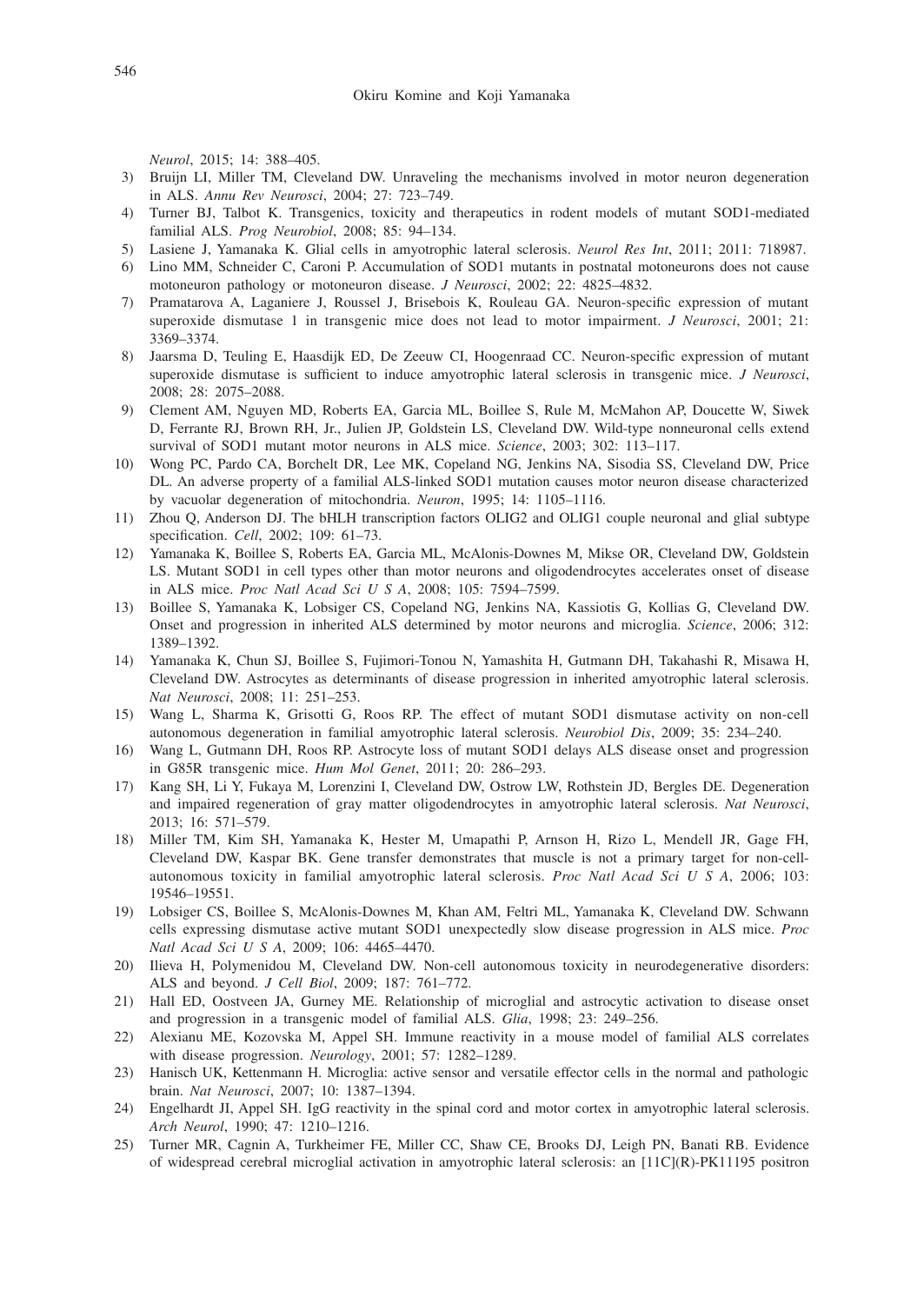*Neurol*, 2015; 14: 388–405.

- 3) Bruijn LI, Miller TM, Cleveland DW. Unraveling the mechanisms involved in motor neuron degeneration in ALS. *Annu Rev Neurosci*, 2004; 27: 723–749.
- 4) Turner BJ, Talbot K. Transgenics, toxicity and therapeutics in rodent models of mutant SOD1-mediated familial ALS. *Prog Neurobiol*, 2008; 85: 94–134.
- 5) Lasiene J, Yamanaka K. Glial cells in amyotrophic lateral sclerosis. *Neurol Res Int*, 2011; 2011: 718987.
- 6) Lino MM, Schneider C, Caroni P. Accumulation of SOD1 mutants in postnatal motoneurons does not cause motoneuron pathology or motoneuron disease. *J Neurosci*, 2002; 22: 4825–4832.
- 7) Pramatarova A, Laganiere J, Roussel J, Brisebois K, Rouleau GA. Neuron-specific expression of mutant superoxide dismutase 1 in transgenic mice does not lead to motor impairment. *J Neurosci*, 2001; 21: 3369–3374.
- 8) Jaarsma D, Teuling E, Haasdijk ED, De Zeeuw CI, Hoogenraad CC. Neuron-specific expression of mutant superoxide dismutase is sufficient to induce amyotrophic lateral sclerosis in transgenic mice. *J Neurosci*, 2008; 28: 2075–2088.
- 9) Clement AM, Nguyen MD, Roberts EA, Garcia ML, Boillee S, Rule M, McMahon AP, Doucette W, Siwek D, Ferrante RJ, Brown RH, Jr., Julien JP, Goldstein LS, Cleveland DW. Wild-type nonneuronal cells extend survival of SOD1 mutant motor neurons in ALS mice. *Science*, 2003; 302: 113–117.
- 10) Wong PC, Pardo CA, Borchelt DR, Lee MK, Copeland NG, Jenkins NA, Sisodia SS, Cleveland DW, Price DL. An adverse property of a familial ALS-linked SOD1 mutation causes motor neuron disease characterized by vacuolar degeneration of mitochondria. *Neuron*, 1995; 14: 1105–1116.
- 11) Zhou Q, Anderson DJ. The bHLH transcription factors OLIG2 and OLIG1 couple neuronal and glial subtype specification. *Cell*, 2002; 109: 61–73.
- 12) Yamanaka K, Boillee S, Roberts EA, Garcia ML, McAlonis-Downes M, Mikse OR, Cleveland DW, Goldstein LS. Mutant SOD1 in cell types other than motor neurons and oligodendrocytes accelerates onset of disease in ALS mice. *Proc Natl Acad Sci U S A*, 2008; 105: 7594–7599.
- 13) Boillee S, Yamanaka K, Lobsiger CS, Copeland NG, Jenkins NA, Kassiotis G, Kollias G, Cleveland DW. Onset and progression in inherited ALS determined by motor neurons and microglia. *Science*, 2006; 312: 1389–1392.
- 14) Yamanaka K, Chun SJ, Boillee S, Fujimori-Tonou N, Yamashita H, Gutmann DH, Takahashi R, Misawa H, Cleveland DW. Astrocytes as determinants of disease progression in inherited amyotrophic lateral sclerosis. *Nat Neurosci*, 2008; 11: 251–253.
- 15) Wang L, Sharma K, Grisotti G, Roos RP. The effect of mutant SOD1 dismutase activity on non-cell autonomous degeneration in familial amyotrophic lateral sclerosis. *Neurobiol Dis*, 2009; 35: 234–240.
- 16) Wang L, Gutmann DH, Roos RP. Astrocyte loss of mutant SOD1 delays ALS disease onset and progression in G85R transgenic mice. *Hum Mol Genet*, 2011; 20: 286–293.
- 17) Kang SH, Li Y, Fukaya M, Lorenzini I, Cleveland DW, Ostrow LW, Rothstein JD, Bergles DE. Degeneration and impaired regeneration of gray matter oligodendrocytes in amyotrophic lateral sclerosis. *Nat Neurosci*, 2013; 16: 571–579.
- 18) Miller TM, Kim SH, Yamanaka K, Hester M, Umapathi P, Arnson H, Rizo L, Mendell JR, Gage FH, Cleveland DW, Kaspar BK. Gene transfer demonstrates that muscle is not a primary target for non-cellautonomous toxicity in familial amyotrophic lateral sclerosis. *Proc Natl Acad Sci U S A*, 2006; 103: 19546–19551.
- 19) Lobsiger CS, Boillee S, McAlonis-Downes M, Khan AM, Feltri ML, Yamanaka K, Cleveland DW. Schwann cells expressing dismutase active mutant SOD1 unexpectedly slow disease progression in ALS mice. *Proc Natl Acad Sci U S A*, 2009; 106: 4465–4470.
- 20) Ilieva H, Polymenidou M, Cleveland DW. Non-cell autonomous toxicity in neurodegenerative disorders: ALS and beyond. *J Cell Biol*, 2009; 187: 761–772.
- 21) Hall ED, Oostveen JA, Gurney ME. Relationship of microglial and astrocytic activation to disease onset and progression in a transgenic model of familial ALS. *Glia*, 1998; 23: 249–256.
- 22) Alexianu ME, Kozovska M, Appel SH. Immune reactivity in a mouse model of familial ALS correlates with disease progression. *Neurology*, 2001; 57: 1282–1289.
- 23) Hanisch UK, Kettenmann H. Microglia: active sensor and versatile effector cells in the normal and pathologic brain. *Nat Neurosci*, 2007; 10: 1387–1394.
- 24) Engelhardt JI, Appel SH. IgG reactivity in the spinal cord and motor cortex in amyotrophic lateral sclerosis. *Arch Neurol*, 1990; 47: 1210–1216.
- 25) Turner MR, Cagnin A, Turkheimer FE, Miller CC, Shaw CE, Brooks DJ, Leigh PN, Banati RB. Evidence of widespread cerebral microglial activation in amyotrophic lateral sclerosis: an [11C](R)-PK11195 positron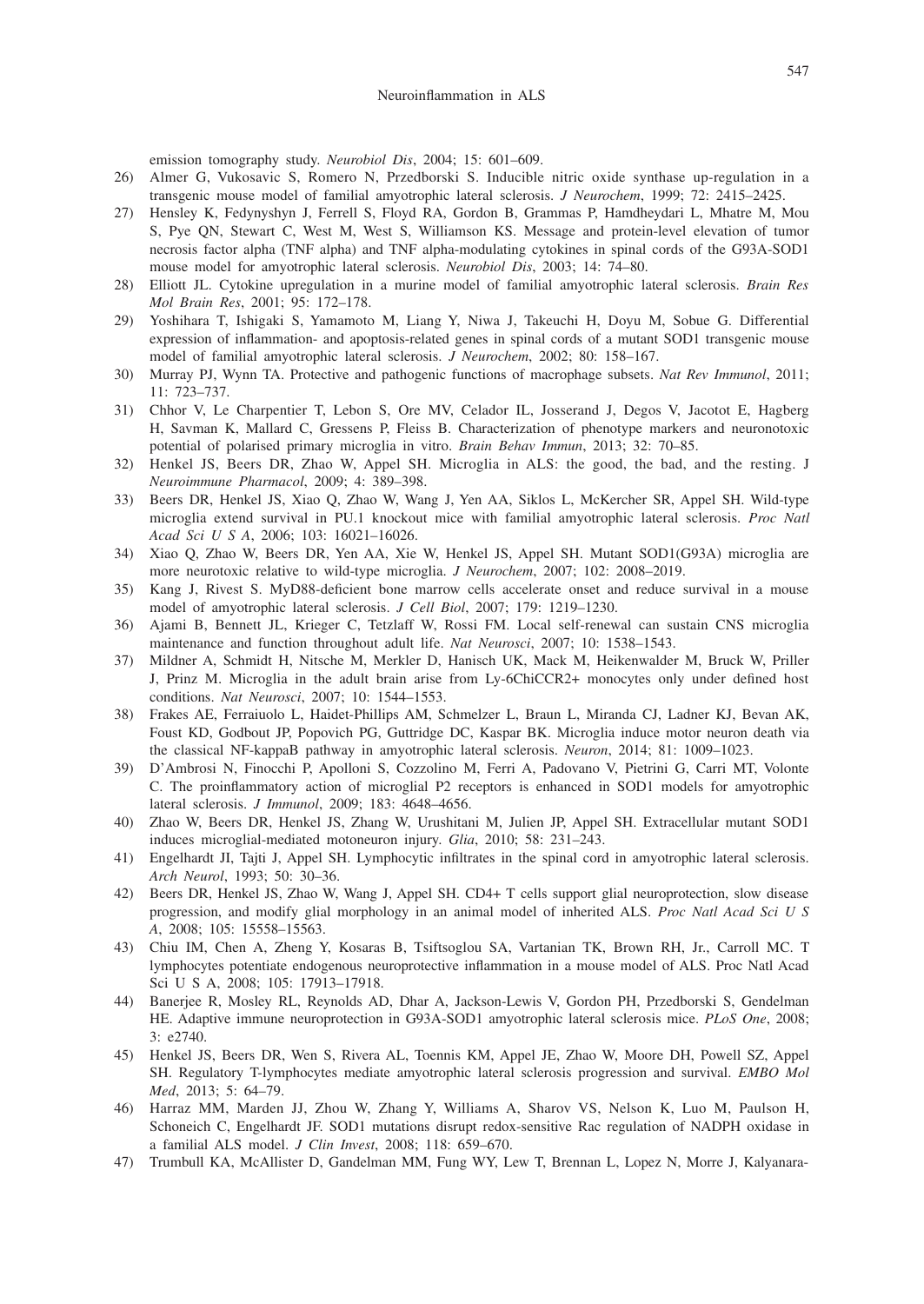emission tomography study. *Neurobiol Dis*, 2004; 15: 601–609.

- 26) Almer G, Vukosavic S, Romero N, Przedborski S. Inducible nitric oxide synthase up-regulation in a transgenic mouse model of familial amyotrophic lateral sclerosis. *J Neurochem*, 1999; 72: 2415–2425.
- 27) Hensley K, Fedynyshyn J, Ferrell S, Floyd RA, Gordon B, Grammas P, Hamdheydari L, Mhatre M, Mou S, Pye QN, Stewart C, West M, West S, Williamson KS. Message and protein-level elevation of tumor necrosis factor alpha (TNF alpha) and TNF alpha-modulating cytokines in spinal cords of the G93A-SOD1 mouse model for amyotrophic lateral sclerosis. *Neurobiol Dis*, 2003; 14: 74–80.
- 28) Elliott JL. Cytokine upregulation in a murine model of familial amyotrophic lateral sclerosis. *Brain Res Mol Brain Res*, 2001; 95: 172–178.
- 29) Yoshihara T, Ishigaki S, Yamamoto M, Liang Y, Niwa J, Takeuchi H, Doyu M, Sobue G. Differential expression of inflammation- and apoptosis-related genes in spinal cords of a mutant SOD1 transgenic mouse model of familial amyotrophic lateral sclerosis. *J Neurochem*, 2002; 80: 158–167.
- 30) Murray PJ, Wynn TA. Protective and pathogenic functions of macrophage subsets. *Nat Rev Immunol*, 2011; 11: 723–737.
- 31) Chhor V, Le Charpentier T, Lebon S, Ore MV, Celador IL, Josserand J, Degos V, Jacotot E, Hagberg H, Savman K, Mallard C, Gressens P, Fleiss B. Characterization of phenotype markers and neuronotoxic potential of polarised primary microglia in vitro. *Brain Behav Immun*, 2013; 32: 70–85.
- 32) Henkel JS, Beers DR, Zhao W, Appel SH. Microglia in ALS: the good, the bad, and the resting. J *Neuroimmune Pharmacol*, 2009; 4: 389–398.
- 33) Beers DR, Henkel JS, Xiao Q, Zhao W, Wang J, Yen AA, Siklos L, McKercher SR, Appel SH. Wild-type microglia extend survival in PU.1 knockout mice with familial amyotrophic lateral sclerosis. *Proc Natl Acad Sci U S A*, 2006; 103: 16021–16026.
- 34) Xiao Q, Zhao W, Beers DR, Yen AA, Xie W, Henkel JS, Appel SH. Mutant SOD1(G93A) microglia are more neurotoxic relative to wild-type microglia. *J Neurochem*, 2007; 102: 2008–2019.
- 35) Kang J, Rivest S. MyD88-deficient bone marrow cells accelerate onset and reduce survival in a mouse model of amyotrophic lateral sclerosis. *J Cell Biol*, 2007; 179: 1219–1230.
- 36) Ajami B, Bennett JL, Krieger C, Tetzlaff W, Rossi FM. Local self-renewal can sustain CNS microglia maintenance and function throughout adult life. *Nat Neurosci*, 2007; 10: 1538–1543.
- 37) Mildner A, Schmidt H, Nitsche M, Merkler D, Hanisch UK, Mack M, Heikenwalder M, Bruck W, Priller J, Prinz M. Microglia in the adult brain arise from Ly-6ChiCCR2+ monocytes only under defined host conditions. *Nat Neurosci*, 2007; 10: 1544–1553.
- 38) Frakes AE, Ferraiuolo L, Haidet-Phillips AM, Schmelzer L, Braun L, Miranda CJ, Ladner KJ, Bevan AK, Foust KD, Godbout JP, Popovich PG, Guttridge DC, Kaspar BK. Microglia induce motor neuron death via the classical NF-kappaB pathway in amyotrophic lateral sclerosis. *Neuron*, 2014; 81: 1009–1023.
- 39) D'Ambrosi N, Finocchi P, Apolloni S, Cozzolino M, Ferri A, Padovano V, Pietrini G, Carri MT, Volonte C. The proinflammatory action of microglial P2 receptors is enhanced in SOD1 models for amyotrophic lateral sclerosis. *J Immunol*, 2009; 183: 4648–4656.
- 40) Zhao W, Beers DR, Henkel JS, Zhang W, Urushitani M, Julien JP, Appel SH. Extracellular mutant SOD1 induces microglial-mediated motoneuron injury. *Glia*, 2010; 58: 231–243.
- 41) Engelhardt JI, Tajti J, Appel SH. Lymphocytic infiltrates in the spinal cord in amyotrophic lateral sclerosis. *Arch Neurol*, 1993; 50: 30–36.
- 42) Beers DR, Henkel JS, Zhao W, Wang J, Appel SH. CD4+ T cells support glial neuroprotection, slow disease progression, and modify glial morphology in an animal model of inherited ALS. *Proc Natl Acad Sci U S A*, 2008; 105: 15558–15563.
- 43) Chiu IM, Chen A, Zheng Y, Kosaras B, Tsiftsoglou SA, Vartanian TK, Brown RH, Jr., Carroll MC. T lymphocytes potentiate endogenous neuroprotective inflammation in a mouse model of ALS. Proc Natl Acad Sci U S A, 2008; 105: 17913–17918.
- 44) Banerjee R, Mosley RL, Reynolds AD, Dhar A, Jackson-Lewis V, Gordon PH, Przedborski S, Gendelman HE. Adaptive immune neuroprotection in G93A-SOD1 amyotrophic lateral sclerosis mice. *PLoS One*, 2008; 3: e2740.
- 45) Henkel JS, Beers DR, Wen S, Rivera AL, Toennis KM, Appel JE, Zhao W, Moore DH, Powell SZ, Appel SH. Regulatory T-lymphocytes mediate amyotrophic lateral sclerosis progression and survival. *EMBO Mol Med*, 2013; 5: 64–79.
- 46) Harraz MM, Marden JJ, Zhou W, Zhang Y, Williams A, Sharov VS, Nelson K, Luo M, Paulson H, Schoneich C, Engelhardt JF. SOD1 mutations disrupt redox-sensitive Rac regulation of NADPH oxidase in a familial ALS model. *J Clin Invest*, 2008; 118: 659–670.
- 47) Trumbull KA, McAllister D, Gandelman MM, Fung WY, Lew T, Brennan L, Lopez N, Morre J, Kalyanara-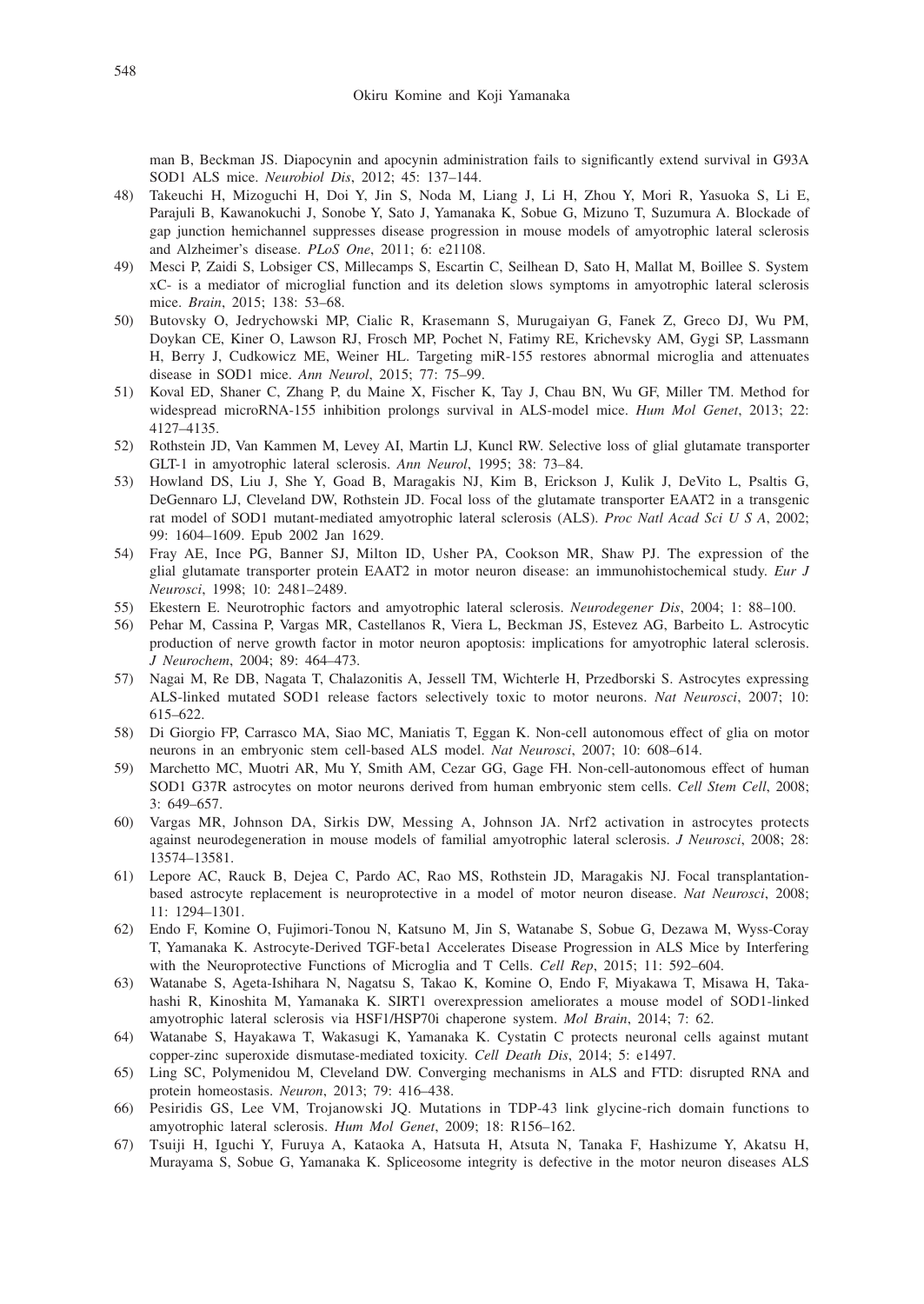man B, Beckman JS. Diapocynin and apocynin administration fails to significantly extend survival in G93A SOD1 ALS mice. *Neurobiol Dis*, 2012; 45: 137–144.

- 48) Takeuchi H, Mizoguchi H, Doi Y, Jin S, Noda M, Liang J, Li H, Zhou Y, Mori R, Yasuoka S, Li E, Parajuli B, Kawanokuchi J, Sonobe Y, Sato J, Yamanaka K, Sobue G, Mizuno T, Suzumura A. Blockade of gap junction hemichannel suppresses disease progression in mouse models of amyotrophic lateral sclerosis and Alzheimer's disease. *PLoS One*, 2011; 6: e21108.
- 49) Mesci P, Zaidi S, Lobsiger CS, Millecamps S, Escartin C, Seilhean D, Sato H, Mallat M, Boillee S. System xC- is a mediator of microglial function and its deletion slows symptoms in amyotrophic lateral sclerosis mice. *Brain*, 2015; 138: 53–68.
- 50) Butovsky O, Jedrychowski MP, Cialic R, Krasemann S, Murugaiyan G, Fanek Z, Greco DJ, Wu PM, Doykan CE, Kiner O, Lawson RJ, Frosch MP, Pochet N, Fatimy RE, Krichevsky AM, Gygi SP, Lassmann H, Berry J, Cudkowicz ME, Weiner HL. Targeting miR-155 restores abnormal microglia and attenuates disease in SOD1 mice. *Ann Neurol*, 2015; 77: 75–99.
- 51) Koval ED, Shaner C, Zhang P, du Maine X, Fischer K, Tay J, Chau BN, Wu GF, Miller TM. Method for widespread microRNA-155 inhibition prolongs survival in ALS-model mice. *Hum Mol Genet*, 2013; 22: 4127–4135.
- 52) Rothstein JD, Van Kammen M, Levey AI, Martin LJ, Kuncl RW. Selective loss of glial glutamate transporter GLT-1 in amyotrophic lateral sclerosis. *Ann Neurol*, 1995; 38: 73–84.
- 53) Howland DS, Liu J, She Y, Goad B, Maragakis NJ, Kim B, Erickson J, Kulik J, DeVito L, Psaltis G, DeGennaro LJ, Cleveland DW, Rothstein JD. Focal loss of the glutamate transporter EAAT2 in a transgenic rat model of SOD1 mutant-mediated amyotrophic lateral sclerosis (ALS). *Proc Natl Acad Sci U S A*, 2002; 99: 1604–1609. Epub 2002 Jan 1629.
- 54) Fray AE, Ince PG, Banner SJ, Milton ID, Usher PA, Cookson MR, Shaw PJ. The expression of the glial glutamate transporter protein EAAT2 in motor neuron disease: an immunohistochemical study. *Eur J Neurosci*, 1998; 10: 2481–2489.
- 55) Ekestern E. Neurotrophic factors and amyotrophic lateral sclerosis. *Neurodegener Dis*, 2004; 1: 88–100.
- 56) Pehar M, Cassina P, Vargas MR, Castellanos R, Viera L, Beckman JS, Estevez AG, Barbeito L. Astrocytic production of nerve growth factor in motor neuron apoptosis: implications for amyotrophic lateral sclerosis. *J Neurochem*, 2004; 89: 464–473.
- 57) Nagai M, Re DB, Nagata T, Chalazonitis A, Jessell TM, Wichterle H, Przedborski S. Astrocytes expressing ALS-linked mutated SOD1 release factors selectively toxic to motor neurons. *Nat Neurosci*, 2007; 10: 615–622.
- 58) Di Giorgio FP, Carrasco MA, Siao MC, Maniatis T, Eggan K. Non-cell autonomous effect of glia on motor neurons in an embryonic stem cell-based ALS model. *Nat Neurosci*, 2007; 10: 608–614.
- 59) Marchetto MC, Muotri AR, Mu Y, Smith AM, Cezar GG, Gage FH. Non-cell-autonomous effect of human SOD1 G37R astrocytes on motor neurons derived from human embryonic stem cells. *Cell Stem Cell*, 2008; 3: 649–657.
- 60) Vargas MR, Johnson DA, Sirkis DW, Messing A, Johnson JA. Nrf2 activation in astrocytes protects against neurodegeneration in mouse models of familial amyotrophic lateral sclerosis. *J Neurosci*, 2008; 28: 13574–13581.
- 61) Lepore AC, Rauck B, Dejea C, Pardo AC, Rao MS, Rothstein JD, Maragakis NJ. Focal transplantationbased astrocyte replacement is neuroprotective in a model of motor neuron disease. *Nat Neurosci*, 2008; 11: 1294–1301.
- 62) Endo F, Komine O, Fujimori-Tonou N, Katsuno M, Jin S, Watanabe S, Sobue G, Dezawa M, Wyss-Coray T, Yamanaka K. Astrocyte-Derived TGF-beta1 Accelerates Disease Progression in ALS Mice by Interfering with the Neuroprotective Functions of Microglia and T Cells. *Cell Rep*, 2015; 11: 592–604.
- 63) Watanabe S, Ageta-Ishihara N, Nagatsu S, Takao K, Komine O, Endo F, Miyakawa T, Misawa H, Takahashi R, Kinoshita M, Yamanaka K. SIRT1 overexpression ameliorates a mouse model of SOD1-linked amyotrophic lateral sclerosis via HSF1/HSP70i chaperone system. *Mol Brain*, 2014; 7: 62.
- 64) Watanabe S, Hayakawa T, Wakasugi K, Yamanaka K. Cystatin C protects neuronal cells against mutant copper-zinc superoxide dismutase-mediated toxicity. *Cell Death Dis*, 2014; 5: e1497.
- 65) Ling SC, Polymenidou M, Cleveland DW. Converging mechanisms in ALS and FTD: disrupted RNA and protein homeostasis. *Neuron*, 2013; 79: 416–438.
- 66) Pesiridis GS, Lee VM, Trojanowski JQ. Mutations in TDP-43 link glycine-rich domain functions to amyotrophic lateral sclerosis. *Hum Mol Genet*, 2009; 18: R156–162.
- 67) Tsuiji H, Iguchi Y, Furuya A, Kataoka A, Hatsuta H, Atsuta N, Tanaka F, Hashizume Y, Akatsu H, Murayama S, Sobue G, Yamanaka K. Spliceosome integrity is defective in the motor neuron diseases ALS